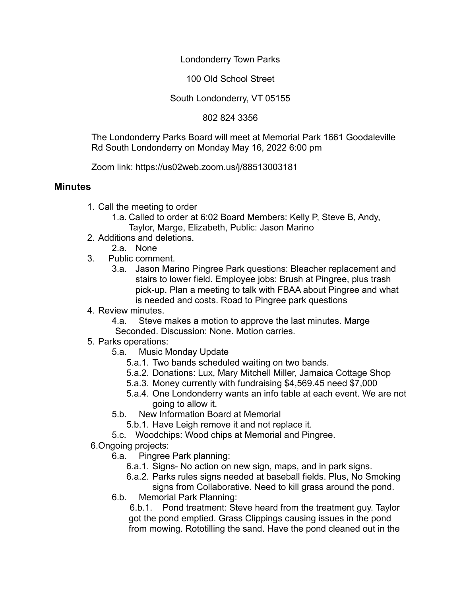Londonderry Town Parks

100 Old School Street

South Londonderry, VT 05155

802 824 3356

The Londonderry Parks Board will meet at Memorial Park 1661 Goodaleville Rd South Londonderry on Monday May 16, 2022 6:00 pm

Zoom link: https://us02web.zoom.us/j/88513003181

## **Minutes**

- 1. Call the meeting to order
	- 1.a. Called to order at 6:02 Board Members: Kelly P, Steve B, Andy, Taylor, Marge, Elizabeth, Public: Jason Marino
- 2. Additions and deletions.
	- 2.a. None
- 3. Public comment.
	- 3.a. Jason Marino Pingree Park questions: Bleacher replacement and stairs to lower field. Employee jobs: Brush at Pingree, plus trash pick-up. Plan a meeting to talk with FBAA about Pingree and what is needed and costs. Road to Pingree park questions
- 4. Review minutes.

4.a. Steve makes a motion to approve the last minutes. Marge Seconded. Discussion: None. Motion carries.

- 5. Parks operations:
	- 5.a. Music Monday Update
		- 5.a.1. Two bands scheduled waiting on two bands.
		- 5.a.2. Donations: Lux, Mary Mitchell Miller, Jamaica Cottage Shop
		- 5.a.3. Money currently with fundraising \$4,569.45 need \$7,000
		- 5.a.4. One Londonderry wants an info table at each event. We are not going to allow it.
	- 5.b. New Information Board at Memorial
		- 5.b.1. Have Leigh remove it and not replace it.
	- 5.c. Woodchips: Wood chips at Memorial and Pingree.
- 6.Ongoing projects:
	- 6.a. Pingree Park planning:
		- 6.a.1. Signs- No action on new sign, maps, and in park signs.
		- 6.a.2. Parks rules signs needed at baseball fields. Plus, No Smoking signs from Collaborative. Need to kill grass around the pond.
	- 6.b. Memorial Park Planning:

6.b.1. Pond treatment: Steve heard from the treatment guy. Taylor got the pond emptied. Grass Clippings causing issues in the pond from mowing. Rototilling the sand. Have the pond cleaned out in the